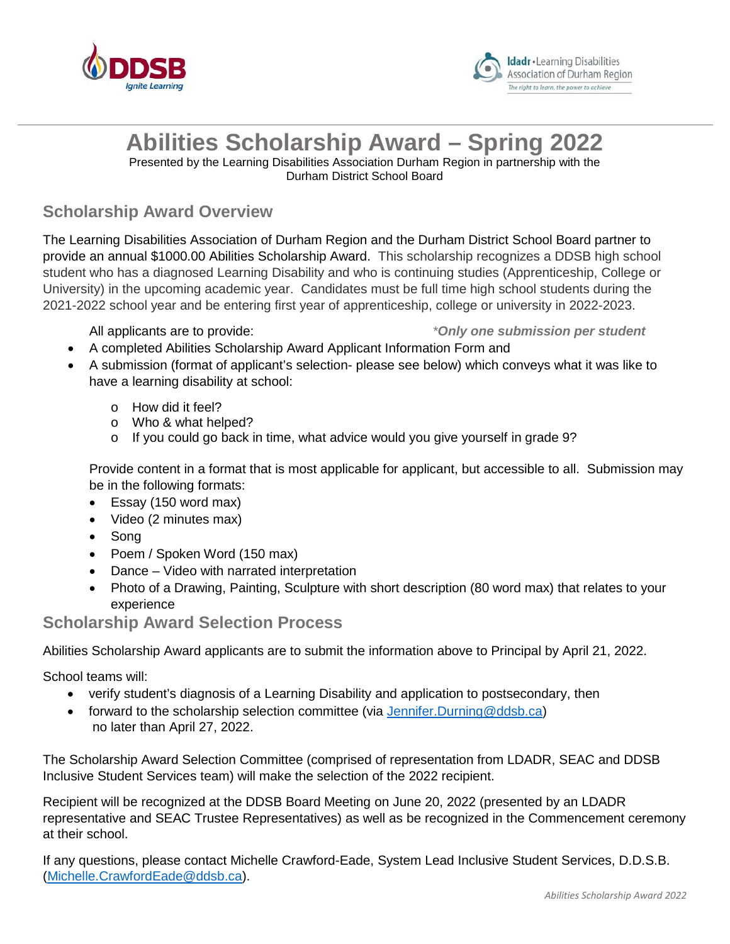



# **Abilities Scholarship Award – Spring 2022**

Presented by the Learning Disabilities Association Durham Region in partnership with the Durham District School Board

### **Scholarship Award Overview**

The Learning Disabilities Association of Durham Region and the Durham District School Board partner to provide an annual \$1000.00 Abilities Scholarship Award. This scholarship recognizes a DDSB high school student who has a diagnosed Learning Disability and who is continuing studies (Apprenticeship, College or University) in the upcoming academic year. Candidates must be full time high school students during the 2021-2022 school year and be entering first year of apprenticeship, college or university in 2022-2023.

#### All applicants are to provide: *\*Only one submission per student*

- A completed Abilities Scholarship Award Applicant Information Form and
- A submission (format of applicant's selection- please see below) which conveys what it was like to have a learning disability at school:
	- o How did it feel?
	- o Who & what helped?
	- o If you could go back in time, what advice would you give yourself in grade 9?

Provide content in a format that is most applicable for applicant, but accessible to all. Submission may be in the following formats:

- Essay (150 word max)
- Video (2 minutes max)
- Song
- Poem / Spoken Word (150 max)
- Dance Video with narrated interpretation
- Photo of a Drawing, Painting, Sculpture with short description (80 word max) that relates to your experience

#### **Scholarship Award Selection Process**

Abilities Scholarship Award applicants are to submit the information above to Principal by April 21, 2022.

School teams will:

- verify student's diagnosis of a Learning Disability and application to postsecondary, then
- forward to the scholarship selection committee (via [Jennifer.Durning@ddsb.ca\)](mailto:Jennifer.Durning@ddsb.ca) no later than April 27, 2022.

The Scholarship Award Selection Committee (comprised of representation from LDADR, SEAC and DDSB Inclusive Student Services team) will make the selection of the 2022 recipient.

Recipient will be recognized at the DDSB Board Meeting on June 20, 2022 (presented by an LDADR representative and SEAC Trustee Representatives) as well as be recognized in the Commencement ceremony at their school.

If any questions, please contact Michelle Crawford-Eade, System Lead Inclusive Student Services, D.D.S.B. [\(Michelle.CrawfordEade@ddsb.ca\)](mailto:Michelle.CrawfordEade@ddsb.ca).